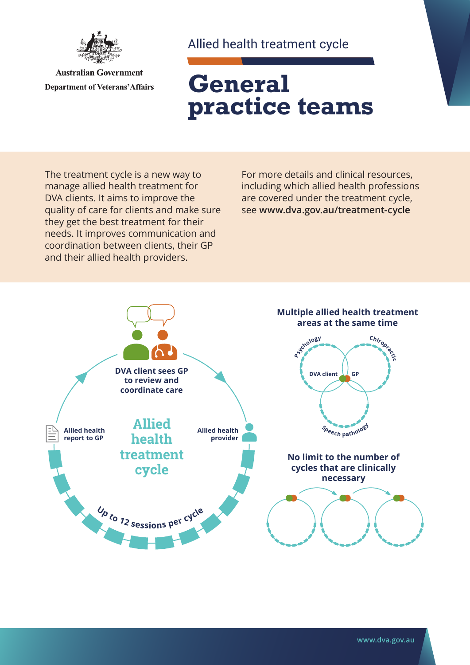

**Australian Government Department of Veterans' Affairs** 

## Allied health treatment cycle

# **General practice teams**

The treatment cycle is a new way to manage allied health treatment for DVA clients. It aims to improve the quality of care for clients and make sure they get the best treatment for their needs. It improves communication and coordination between clients, their GP and their allied health providers.

For more details and clinical resources, including which allied health professions are covered under the treatment cycle, see **[www.dva.gov.au/](http://www.dva.gov.au/treatment-cycle)treatment-cycle**